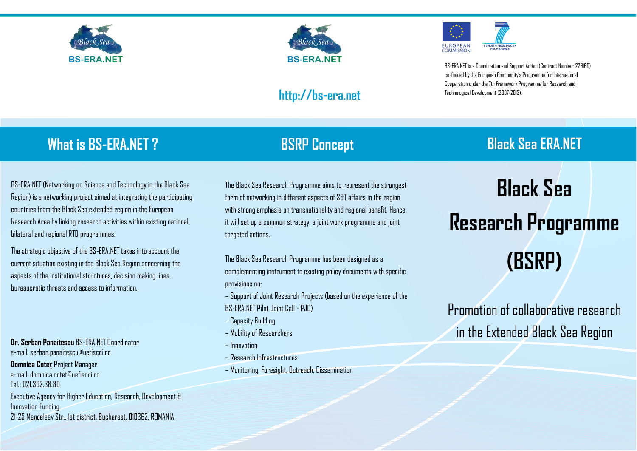



### **http://bs-era.net**



BS-ERA.NET is a Coordination and Support Action (Contract Number: 226160) co-funded by the European Community's Programme for International Cooperation under the 7th Framework Programme for Research and Technological Development (2007-2013).

# **What is BS-ERA.NET ?**

BS-ERA.NET (Networking on Science and Technology in the Black Sea Region) is a networking project aimed at integrating the participating countries from the Black Sea extended region in the European Research Area by linking research activities within existing national, bilateral and regional RTD programmes.

The strategic objective of the BS-ERA.NET takes into account the current situation existing in the Black Sea Region concerning the aspects of the institutional structures, decision making lines, bureaucratic threats and access to information.

 **Dr. Serban Panaitescu** BS-ERA.NET Coordinator e-mail: serban.panaitescu@uefiscdi.ro

**Domnica Coteț** Project Manager e-mail: domnica.cotet@uefiscdi.ro Tel.: 021.302.38.80

Executive Agency for Higher Education, Research, Development & Innovation Funding 21-25 Mendeleev Str., 1st district, Bucharest, 010362, ROMANIA

The Black Sea Research Programme aims to represent the strongest form of networking in different aspects of S&T affairs in the region with strong emphasis on transnationality and regional benefit. Hence, it will set up a common strategy, a joint work programme and joint targeted actions.

The Black Sea Research Programme has been designed as a complementing instrument to existing policy documents with specific provisions on:

- Support of Joint Research Projects (based on the experience of the BS-ERA.NET Pilot Joint Call - PJC)
- Capacity Building
- Mobility of Researchers
- Innovation
- Research Infrastructures
- Monitoring, Foresight, Outreach, Dissemination

## **BSRP Concept Black Sea ERA.NET**

# **Black Sea Research Programme (BSRP)**

Promotion of collaborative research in the Extended Black Sea Region